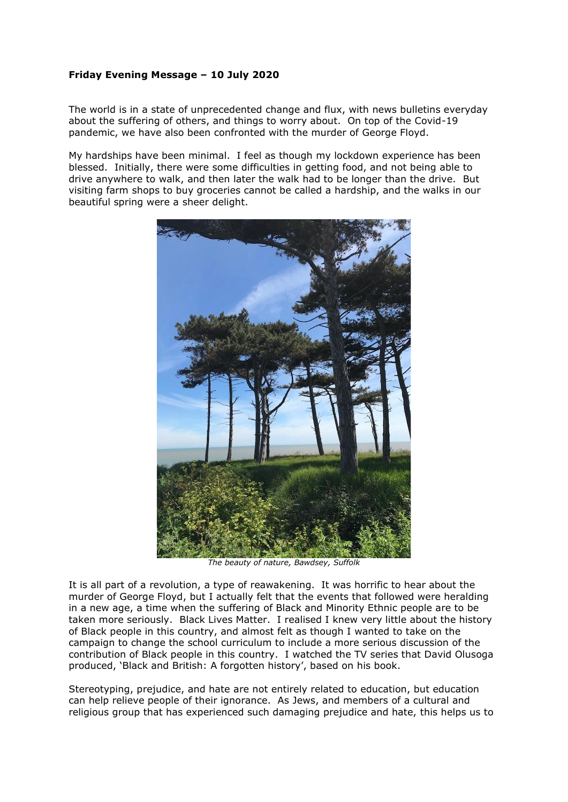## **Friday Evening Message – 10 July 2020**

The world is in a state of unprecedented change and flux, with news bulletins everyday about the suffering of others, and things to worry about. On top of the Covid-19 pandemic, we have also been confronted with the murder of George Floyd.

My hardships have been minimal. I feel as though my lockdown experience has been blessed. Initially, there were some difficulties in getting food, and not being able to drive anywhere to walk, and then later the walk had to be longer than the drive. But visiting farm shops to buy groceries cannot be called a hardship, and the walks in our beautiful spring were a sheer delight.



*The beauty of nature, Bawdsey, Suffolk*

It is all part of a revolution, a type of reawakening. It was horrific to hear about the murder of George Floyd, but I actually felt that the events that followed were heralding in a new age, a time when the suffering of Black and Minority Ethnic people are to be taken more seriously. Black Lives Matter. I realised I knew very little about the history of Black people in this country, and almost felt as though I wanted to take on the campaign to change the school curriculum to include a more serious discussion of the contribution of Black people in this country. I watched the TV series that David Olusoga produced, 'Black and British: A forgotten history', based on his book.

Stereotyping, prejudice, and hate are not entirely related to education, but education can help relieve people of their ignorance. As Jews, and members of a cultural and religious group that has experienced such damaging prejudice and hate, this helps us to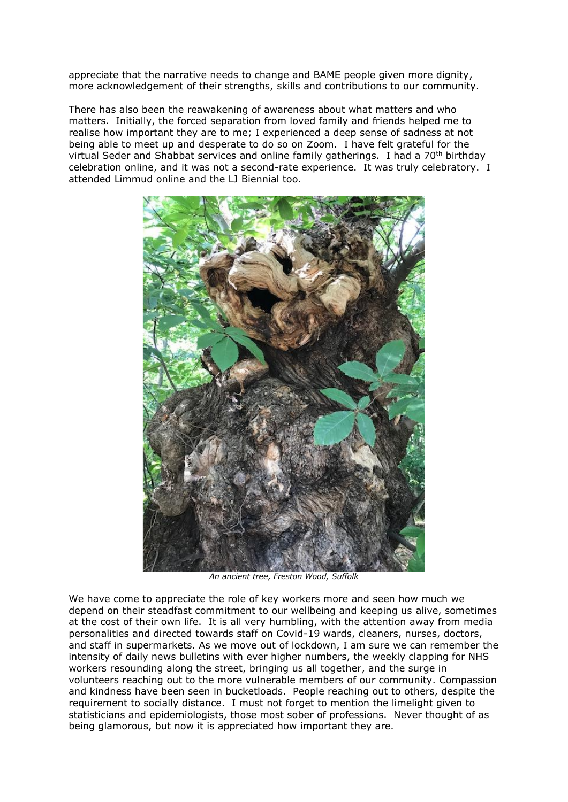appreciate that the narrative needs to change and BAME people given more dignity, more acknowledgement of their strengths, skills and contributions to our community.

There has also been the reawakening of awareness about what matters and who matters. Initially, the forced separation from loved family and friends helped me to realise how important they are to me; I experienced a deep sense of sadness at not being able to meet up and desperate to do so on Zoom. I have felt grateful for the virtual Seder and Shabbat services and online family gatherings. I had a 70<sup>th</sup> birthday celebration online, and it was not a second-rate experience. It was truly celebratory. I attended Limmud online and the LJ Biennial too.



*An ancient tree, Freston Wood, Suffolk*

We have come to appreciate the role of key workers more and seen how much we depend on their steadfast commitment to our wellbeing and keeping us alive, sometimes at the cost of their own life. It is all very humbling, with the attention away from media personalities and directed towards staff on Covid-19 wards, cleaners, nurses, doctors, and staff in supermarkets. As we move out of lockdown, I am sure we can remember the intensity of daily news bulletins with ever higher numbers, the weekly clapping for NHS workers resounding along the street, bringing us all together, and the surge in volunteers reaching out to the more vulnerable members of our community. Compassion and kindness have been seen in bucketloads. People reaching out to others, despite the requirement to socially distance. I must not forget to mention the limelight given to statisticians and epidemiologists, those most sober of professions. Never thought of as being glamorous, but now it is appreciated how important they are.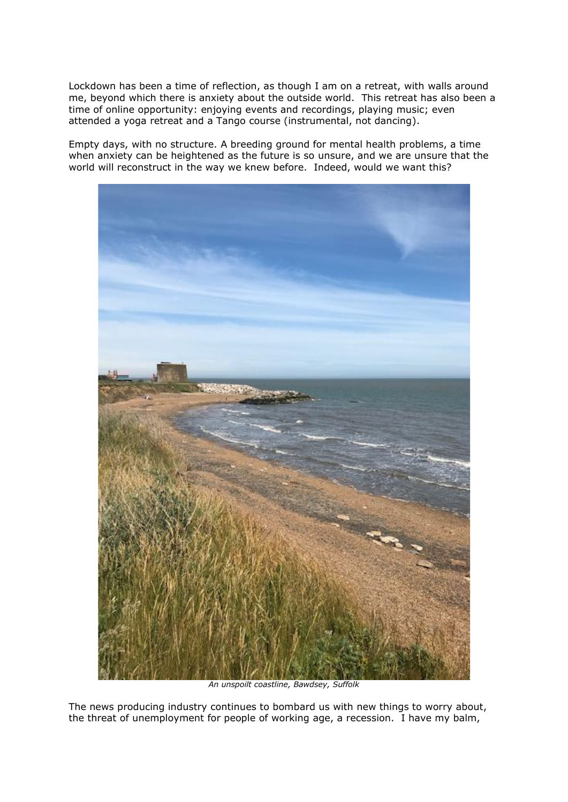Lockdown has been a time of reflection, as though I am on a retreat, with walls around me, beyond which there is anxiety about the outside world. This retreat has also been a time of online opportunity: enjoying events and recordings, playing music; even attended a yoga retreat and a Tango course (instrumental, not dancing).

Empty days, with no structure. A breeding ground for mental health problems, a time when anxiety can be heightened as the future is so unsure, and we are unsure that the world will reconstruct in the way we knew before. Indeed, would we want this?



*An unspoilt coastline, Bawdsey, Suffolk*

The news producing industry continues to bombard us with new things to worry about, the threat of unemployment for people of working age, a recession. I have my balm,